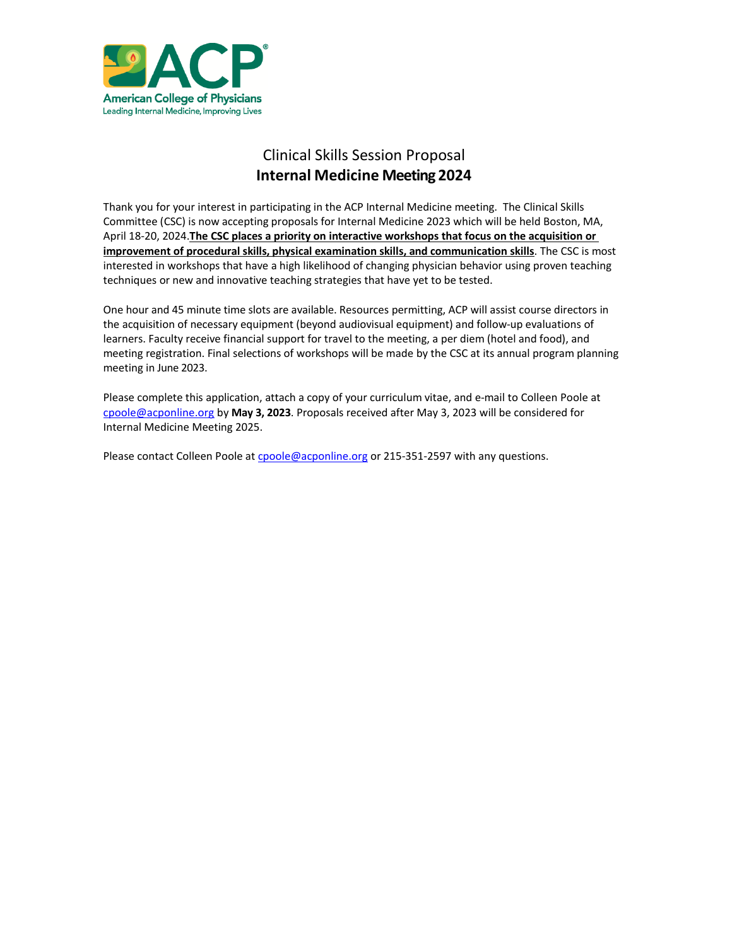

# Clinical Skills Session Proposal **Internal Medicine Meeting 2024**

Thank you for your interest in participating in the ACP Internal Medicine meeting. The Clinical Skills Committee (CSC) is now accepting proposals for Internal Medicine 2023 which will be held Boston, MA, April 18-20, 2024.**The CSC places a priority on interactive workshops that focus on the acquisition or improvement of procedural skills, physical examination skills, and communication skills**. The CSC is most interested in workshops that have a high likelihood of changing physician behavior using proven teaching techniques or new and innovative teaching strategies that have yet to be tested.

One hour and 45 minute time slots are available. Resources permitting, ACP will assist course directors in the acquisition of necessary equipment (beyond audiovisual equipment) and follow-up evaluations of learners. Faculty receive financial support for travel to the meeting, a per diem (hotel and food), and meeting registration. Final selections of workshops will be made by the CSC at its annual program planning meeting in June 2023.

Please complete this application, attach a copy of your curriculum vitae, and e-mail to Colleen Poole at [cpoole@acponline.org](mailto:cpoole@acponline.org) by **May 3, 2023**. Proposals received after May 3, 2023 will be considered for Internal Medicine Meeting 2025.

Please contact Colleen Poole at [cpoole@acponline.org](mailto:cpoole@acponline.org) or 215-351-2597 with any questions.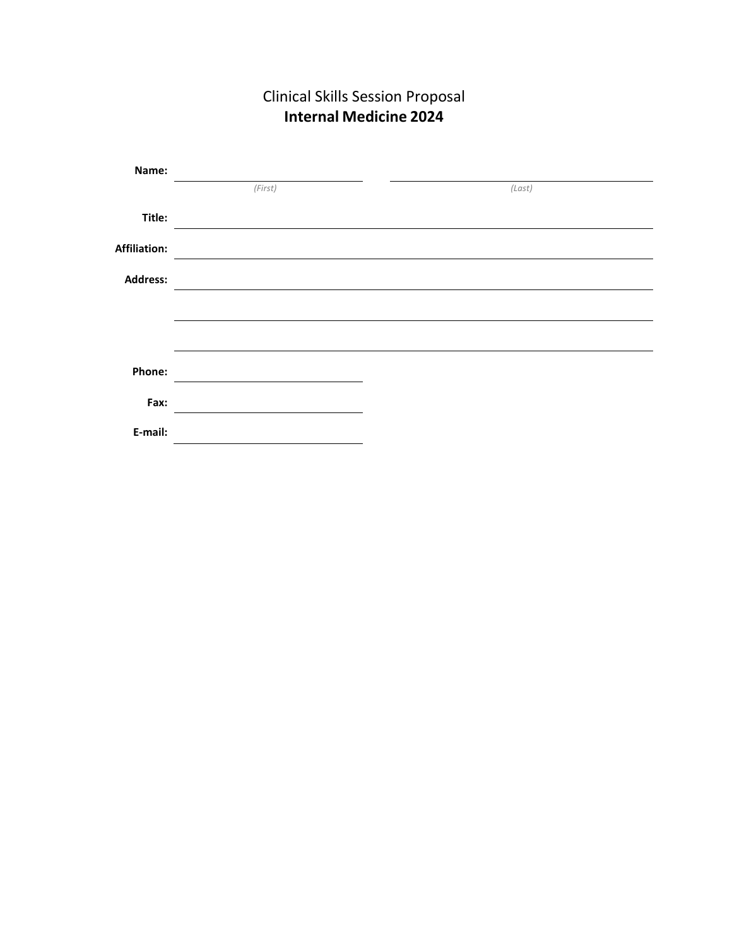| Name:        |         |        |
|--------------|---------|--------|
|              | (First) | (Last) |
| Title:       |         |        |
| Affiliation: |         |        |
| Address:     |         |        |
|              |         |        |
|              |         |        |
| Phone:       |         |        |
| Fax:         |         |        |
| E-mail:      |         |        |

Clinical Skills Session Proposal **Internal Medicine 2024**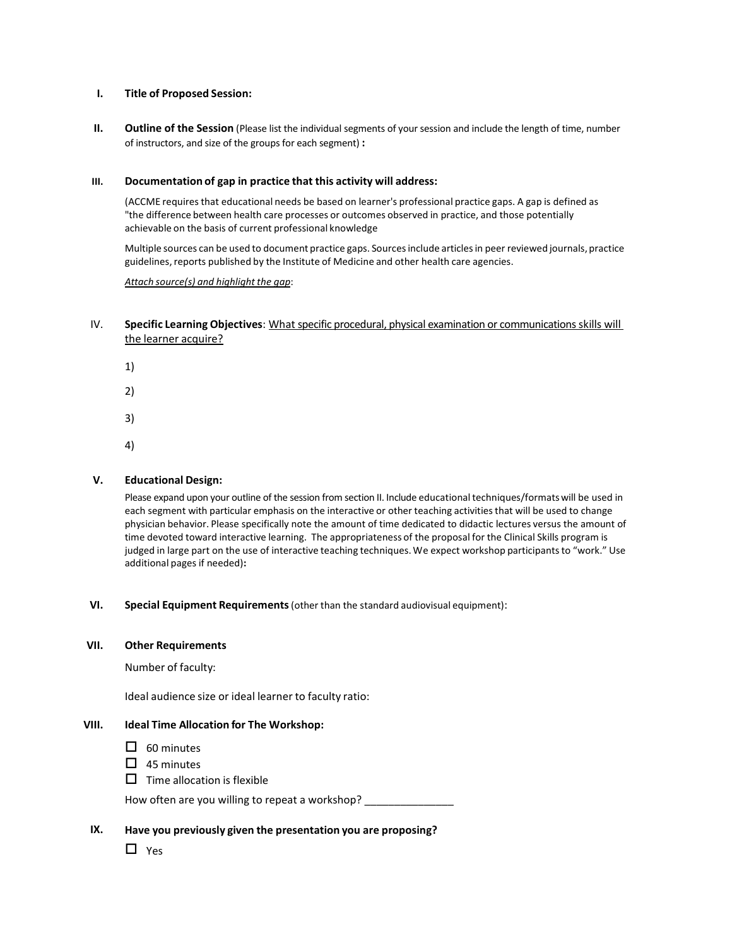## **I. Title of Proposed Session:**

**II. Outline of the Session** (Please list the individual segments of your session and include the length of time, number of instructors, and size of the groups for each segment) **:**

# **III. Documentation of gap in practice that this activity will address:**

(ACCME requires that educational needs be based on learner's professional practice gaps. A gap is defined as "the difference between health care processes or outcomes observed in practice, and those potentially achievable on the basis of current professional knowledge

Multiple sources can be used to document practice gaps. Sourcesinclude articlesin peer reviewed journals, practice guidelines, reports published by the Institute of Medicine and other health care agencies.

## *Attach source(s) and highlight the gap*:

# IV. **Specific Learning Objectives**: What specific procedural, physical examination or communications skills will the learner acquire?

- 1)
- 2)
- 3)
- 4)

# **V. Educational Design:**

Please expand upon your outline of the session from section II. Include educational techniques/formatswill be used in each segment with particular emphasis on the interactive or other teaching activitiesthat will be used to change physician behavior. Please specifically note the amount of time dedicated to didactic lectures versus the amount of time devoted toward interactive learning. The appropriateness of the proposal for the Clinical Skills program is judged in large part on the use of interactive teaching techniques. We expect workshop participants to "work." Use additional pages if needed)**:**

## **VI. Special Equipment Requirements**(other than the standard audiovisual equipment):

## **VII. Other Requirements**

Number of faculty:

Ideal audience size or ideal learner to faculty ratio:

## **VIII. Ideal Time Allocation for The Workshop:**

- $\Box$  60 minutes
- $\Box$  45 minutes
- $\Box$  Time allocation is flexible

How often are you willing to repeat a workshop?

## **IX. Have you previously given the presentation you are proposing?**

□ Yes